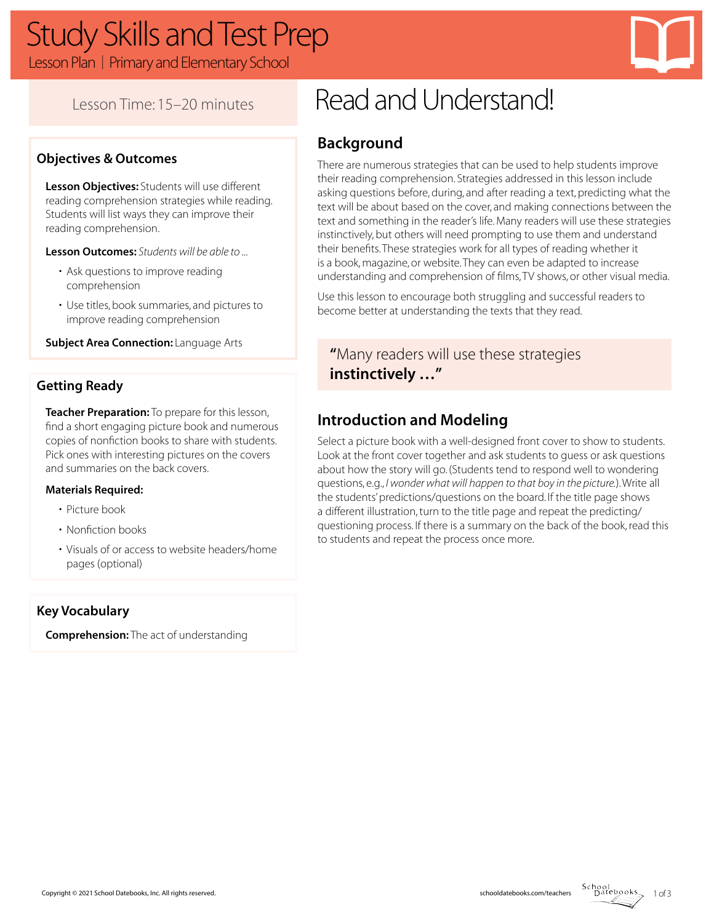# Study Skills and Test Prep

Lesson Plan | Primary and Elementary School



## **Objectives & Outcomes**

**Lesson Objectives:** Students will use different reading comprehension strategies while reading. Students will list ways they can improve their reading comprehension.

**Lesson Outcomes:** *Students will be able to ...*

- Ask questions to improve reading comprehension
- Use titles, book summaries, and pictures to improve reading comprehension

**Subject Area Connection:** Language Arts

### **Getting Ready**

**Teacher Preparation:** To prepare for this lesson, find a short engaging picture book and numerous copies of nonfiction books to share with students. Pick ones with interesting pictures on the covers and summaries on the back covers.

#### **Materials Required:**

- Picture book
- Nonfiction books
- Visuals of or access to website headers/home pages (optional)

#### **Key Vocabulary**

**Comprehension:** The act of understanding

# Lesson Time: 15–20 minutes Read and Understand!

## **Background**

There are numerous strategies that can be used to help students improve their reading comprehension. Strategies addressed in this lesson include asking questions before, during, and after reading a text, predicting what the text will be about based on the cover, and making connections between the text and something in the reader's life. Many readers will use these strategies instinctively, but others will need prompting to use them and understand their benefits. These strategies work for all types of reading whether it is a book, magazine, or website. They can even be adapted to increase understanding and comprehension of films, TV shows, or other visual media.

Use this lesson to encourage both struggling and successful readers to become better at understanding the texts that they read.

## **"**Many readers will use these strategies **instinctively …"**

## **Introduction and Modeling**

Select a picture book with a well-designed front cover to show to students. Look at the front cover together and ask students to guess or ask questions about how the story will go. (Students tend to respond well to wondering questions, e.g., *I wonder what will happen to that boy in the picture.*). Write all the students' predictions/questions on the board. If the title page shows a different illustration, turn to the title page and repeat the predicting/ questioning process. If there is a summary on the back of the book, read this to students and repeat the process once more.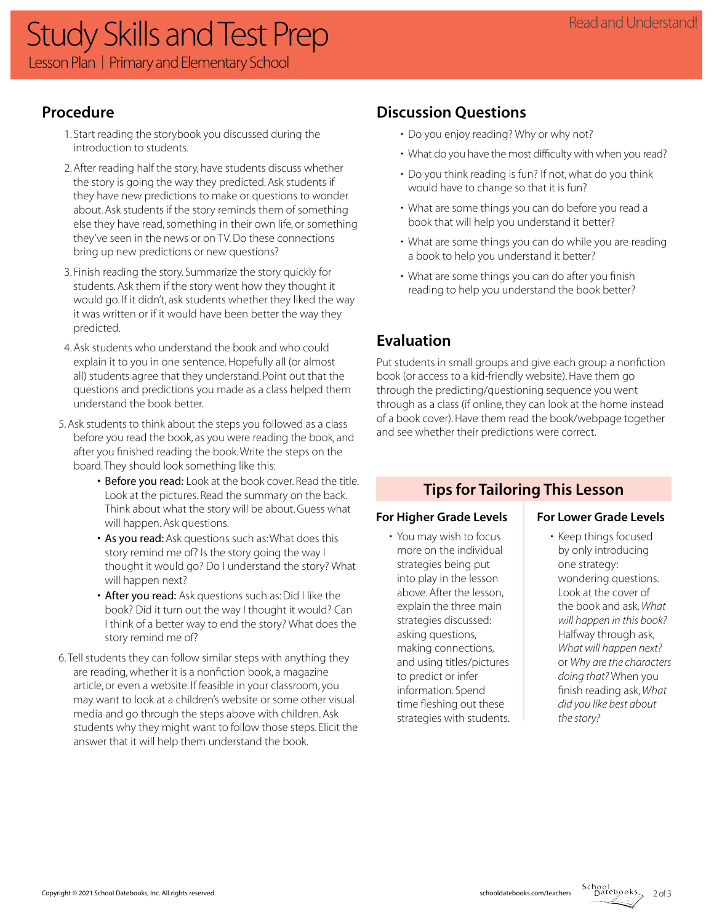## Study Skills and Test Prep Lesson Plan | Primary and Elementary School

## **Procedure**

- 1. Start reading the storybook you discussed during the introduction to students.
- 2. After reading half the story, have students discuss whether the story is going the way they predicted. Ask students if they have new predictions to make or questions to wonder about. Ask students if the story reminds them of something else they have read, something in their own life, or something they've seen in the news or on TV. Do these connections bring up new predictions or new questions?
- 3. Finish reading the story. Summarize the story quickly for students. Ask them if the story went how they thought it would go. If it didn't, ask students whether they liked the way it was written or if it would have been better the way they predicted.
- 4. Ask students who understand the book and who could explain it to you in one sentence. Hopefully all (or almost all) students agree that they understand. Point out that the questions and predictions you made as a class helped them understand the book better.
- 5. Ask students to think about the steps you followed as a class before you read the book, as you were reading the book, and after you finished reading the book. Write the steps on the board. They should look something like this:
	- Before you read: Look at the book cover. Read the title. Look at the pictures. Read the summary on the back. Think about what the story will be about. Guess what will happen. Ask questions.
	- As you read: Ask questions such as: What does this story remind me of? Is the story going the way I thought it would go? Do I understand the story? What will happen next?
	- After you read: Ask questions such as: Did I like the book? Did it turn out the way I thought it would? Can I think of a better way to end the story? What does the story remind me of?
- 6. Tell students they can follow similar steps with anything they are reading, whether it is a nonfiction book, a magazine article, or even a website. If feasible in your classroom, you may want to look at a children's website or some other visual media and go through the steps above with children. Ask students why they might want to follow those steps. Elicit the answer that it will help them understand the book.

## **Discussion Questions**

- Do you enjoy reading? Why or why not?
- What do you have the most difficulty with when you read?
- Do you think reading is fun? If not, what do you think would have to change so that it is fun?
- What are some things you can do before you read a book that will help you understand it better?
- What are some things you can do while you are reading a book to help you understand it better?
- What are some things you can do after you finish reading to help you understand the book better?

## **Evaluation**

Put students in small groups and give each group a nonfiction book (or access to a kid-friendly website). Have them go through the predicting/questioning sequence you went through as a class (if online, they can look at the home instead of a book cover). Have them read the book/webpage together and see whether their predictions were correct.

## **Tips for Tailoring This Lesson**

### For Higher Grade Levels **For Lower Grade Levels**

• You may wish to focus more on the individual strategies being put into play in the lesson above. After the lesson, explain the three main strategies discussed: asking questions, making connections, and using titles/pictures to predict or infer information. Spend time fleshing out these strategies with students.

• Keep things focused by only introducing one strategy: wondering questions. Look at the cover of the book and ask, *What will happen in this book?* Halfway through ask, *What will happen next?* or *Why are the characters doing that?* When you finish reading ask, *What did you like best about the story?* 

 $2 of 3$